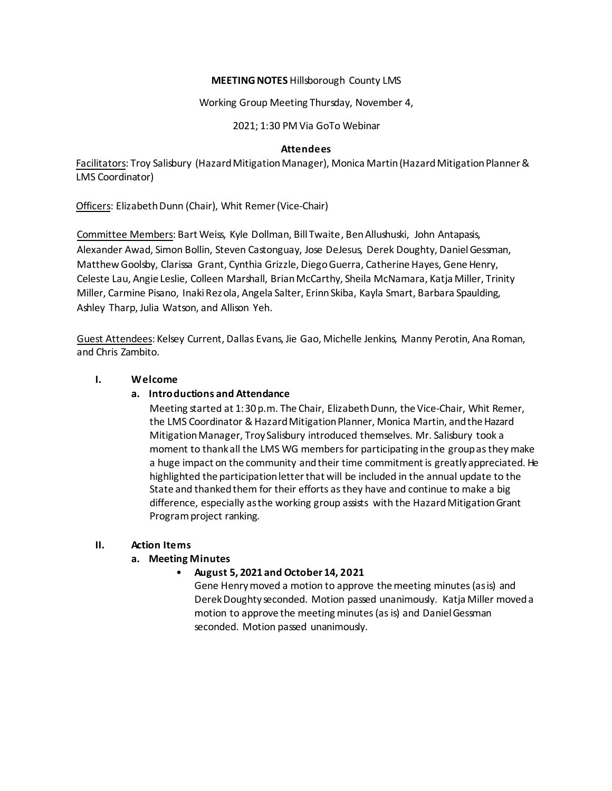## **MEETING NOTES** Hillsborough County LMS

Working Group Meeting Thursday, November 4,

2021; 1:30 PM Via GoTo Webinar

#### **Attendees**

Facilitators: Troy Salisbury (Hazard Mitigation Manager), Monica Martin (Hazard Mitigation Planner & LMS Coordinator)

Officers: Elizabeth Dunn (Chair), Whit Remer (Vice-Chair)

Committee Members: Bart Weiss, Kyle Dollman, Bill Twaite, BenAllushuski, John Antapasis, Alexander Awad, Simon Bollin, Steven Castonguay, Jose DeJesus, Derek Doughty, DanielGessman, Matthew Goolsby, Clarissa Grant, Cynthia Grizzle, Diego Guerra, Catherine Hayes, Gene Henry, Celeste Lau, Angie Leslie, Colleen Marshall, BrianMcCarthy, Sheila McNamara, Katja Miller, Trinity Miller, Carmine Pisano, Inaki Rezola, Angela Salter, Erinn Skiba, Kayla Smart, Barbara Spaulding, Ashley Tharp, Julia Watson, and Allison Yeh.

Guest Attendees: Kelsey Current, Dallas Evans, Jie Gao, Michelle Jenkins, Manny Perotin, Ana Roman, and Chris Zambito.

# **I. Welcome**

# **a. Introductions and Attendance**

Meeting started at 1:30 p.m. The Chair, Elizabeth Dunn, the Vice-Chair, Whit Remer, the LMS Coordinator & Hazard Mitigation Planner, Monica Martin, and the Hazard MitigationManager, Troy Salisbury introduced themselves. Mr. Salisbury took a moment to thankall the LMS WG members for participating inthe groupasthey make a huge impact on the community andtheir time commitmentis greatlyappreciated. He highlighted the participationletterthat will be included in the annual update to the State and thankedthem for their efforts asthey have and continue to make a big difference, especially as the working group assists with the Hazard Mitigation Grant Program project ranking.

### **II. Action Items**

# **a. Meeting Minutes**

### • **August 5, 2021 and October 14, 2021**

Gene Henrymoved a motion to approve themeeting minutes(asis) and DerekDoughty seconded. Motion passed unanimously. Katja Miller moveda motion to approve the meeting minutes (as is) and Daniel Gessman seconded. Motion passed unanimously.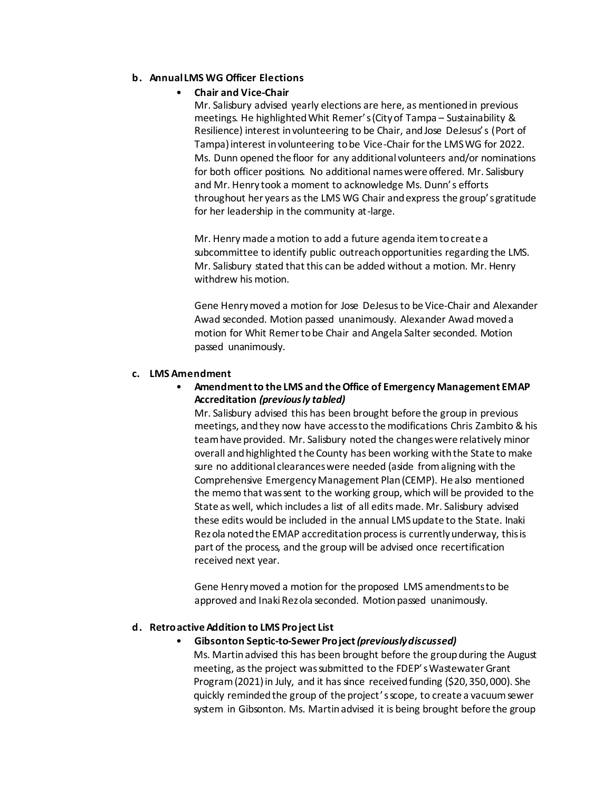# **b. Annual LMS WG Officer Elections**

# • **Chair and Vice-Chair**

Mr. Salisbury advised yearly elections are here, as mentionedin previous meetings. He highlightedWhit Remer's(Cityof Tampa – Sustainability & Resilience) interest involunteering to be Chair, andJose DeJesus's (Port of Tampa)interest involunteering tobe Vice-Chair forthe LMSWG for 2022. Ms. Dunn opened the floor for any additional volunteers and/or nominations for both officer positions. No additional nameswere offered. Mr. Salisbury and Mr. Henry took a moment to acknowledge Ms. Dunn's efforts throughout her years asthe LMS WG Chair andexpress the group's gratitude for her leadership in the community at-large.

Mr. Henry made a motion to add a future agenda itemtocreate a subcommittee to identify public outreachopportunities regarding the LMS. Mr. Salisbury stated that this can be added without a motion. Mr. Henry withdrew his motion.

Gene Henrymoved a motion for Jose DeJesusto be Vice-Chair and Alexander Awad seconded. Motion passed unanimously. Alexander Awad moveda motion for Whit Remertobe Chair and Angela Salter seconded. Motion passed unanimously.

### **c. LMS Amendment**

# • **Amendmentto the LMS and theOffice of Emergency Management EMAP Accreditation** *(previously tabled)*

Mr. Salisbury advised this has been brought before the group in previous meetings, and they now have access to the modifications Chris Zambito & his teamhave provided. Mr. Salisbury noted the changeswere relatively minor overall andhighlighted the County has been working withthe State to make sure no additional clearanceswere needed (aside from aligning with the Comprehensive EmergencyManagement Plan(CEMP). He also mentioned the memo that wassent to the working group, which will be provided to the State as well, which includes a list of all edits made. Mr. Salisbury advised these edits would be included in the annual LMSupdate to the State. Inaki Rezola noted the EMAP accreditation process is currently underway, this is part of the process, and the group will be advised once recertification received next year.

Gene Henrymoved a motion for the proposed LMS amendmentsto be approved and Inaki Rezola seconded. Motion passed unanimously.

# **d. RetroactiveAddition to LMS Project List**

### • **Gibsonton Septic-to-Sewer Project***(previously discussed)*

Ms. Martinadvised this has been brought before the groupduring the August meeting, asthe project wassubmitted to the FDEP'sWastewaterGrant Program (2021) in July, and it has since received funding (\$20,350,000). She quickly remindedthe group of the project'sscope, to create a vacuumsewer system in Gibsonton. Ms. Martinadvised it is being brought before the group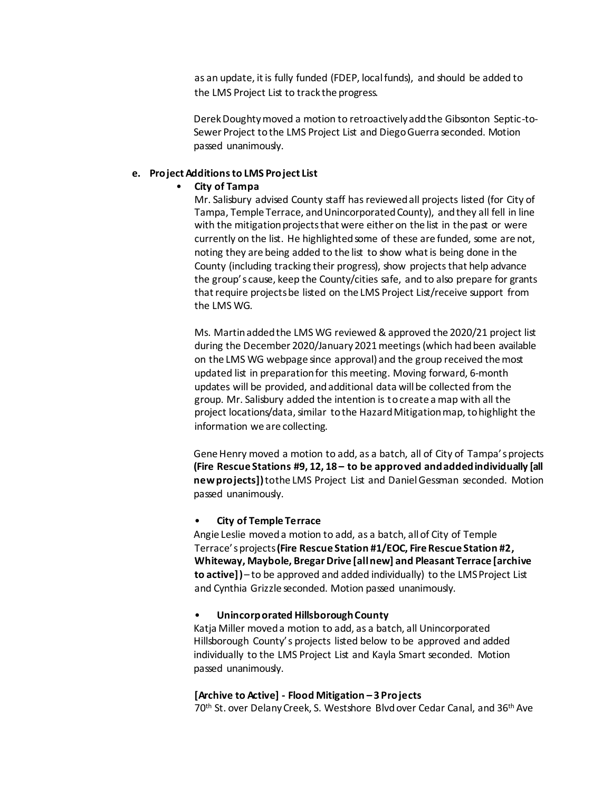as an update, it is fully funded (FDEP, localfunds), and should be added to the LMS Project List to track the progress.

DerekDoughtymoved a motion to retroactivelyaddthe Gibsonton Septic-to-Sewer Project to the LMS Project List and Diego Guerra seconded. Motion passed unanimously.

#### **e. Project Additions to LMS Project List**

#### • **City of Tampa**

Mr. Salisbury advised County staff hasreviewedall projects listed (for City of Tampa, Temple Terrace, andUnincorporatedCounty), andthey all fell in line with the mitigation projects that were either on the list in the past or were currently on the list. He highlighted some of these are funded, some are not, noting they are being added to the list to show what is being done in the County (including tracking their progress), show projectsthat help advance the group's cause, keep the County/cities safe, and to also prepare for grants thatrequire projects be listed on the LMS Project List/receive support from the LMS WG.

Ms. Martinaddedthe LMS WG reviewed & approved the 2020/21 project list during the December 2020/January 2021 meetings (which had been available on the LMS WG webpage since approval) and the group received themost updated list in preparation for this meeting. Moving forward, 6-month updates will be provided, andadditional data willbe collected from the group. Mr. Salisbury added the intention is tocreate a map with all the project locations/data, similar to the Hazard Mitigation map, to highlight the information we are collecting.

Gene Henry moved a motion to add, as a batch, all of City of Tampa's projects **(Fire Rescue Stations #9, 12, 18 – to be approved andaddedindividually [all newprojects])**tothe LMS Project List and DanielGessman seconded. Motion passed unanimously.

#### • **City of Temple Terrace**

Angie Leslie moveda motion to add, as a batch, allof City of Temple Terrace'sprojects**(Fire Rescue Station #1/EOC, FireRescue Station #2, Whiteway, Maybole, BregarDrive [allnew] and Pleasant Terrace [archive to active])**– to be approved and added individually) to the LMSProject List and Cynthia Grizzle seconded. Motion passed unanimously.

#### • **Unincorporated HillsboroughCounty**

Katja Miller moveda motion to add, as a batch, all Unincorporated Hillsborough County's projects listed below to be approved and added individually to the LMS Project List and Kayla Smart seconded. Motion passed unanimously.

**[Archive to Active] - Flood Mitigation – 3 Projects**

70<sup>th</sup> St. over Delany Creek, S. Westshore Blvd over Cedar Canal, and 36<sup>th</sup> Ave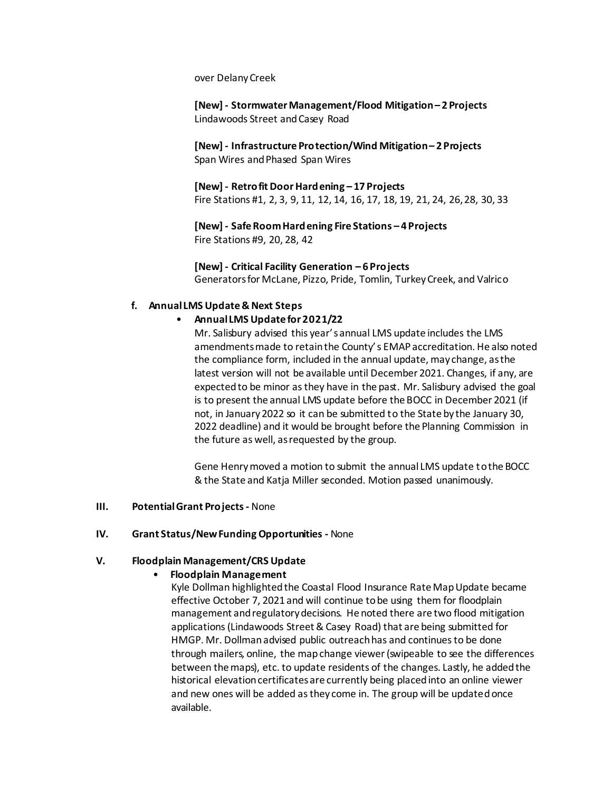over DelanyCreek

**[New] - StormwaterManagement/Flood Mitigation– 2 Projects** Lindawoods Street andCasey Road

**[New] - Infrastructure Protection/Wind Mitigation– 2 Projects** Span Wires and Phased Span Wires

**[New] - RetrofitDoorHardening – 17 Projects** Fire Stations #1, 2, 3, 9, 11, 12, 14, 16, 17, 18, 19, 21, 24, 26,28, 30, 33

**[New] - SafeRoomHardening Fire Stations – 4 Projects** Fire Stations #9, 20, 28, 42

**[New] - Critical Facility Generation – 6 Projects** Generatorsfor McLane, Pizzo, Pride, Tomlin, Turkey Creek, and Valrico

### **f. Annual LMS Update & Next Steps**

### • **Annual LMS Update for 2021/22**

Mr. Salisbury advised this year'sannual LMS update includes the LMS amendmentsmade to retainthe County's EMAPaccreditation. He also noted the compliance form, included in the annual update, may change, asthe latest version will not be available until December 2021. Changes, if any, are expectedto be minor asthey have in the past. Mr. Salisbury advised the goal is to present the annual LMS update before the BOCC in December 2021 (if not, in January2022 so it can be submitted to the State by the January 30, 2022 deadline) and it would be brought before the Planning Commission in the future as well, asrequested by the group.

Gene Henrymoved a motion to submit the annual LMS update tothe BOCC & the State and Katja Miller seconded. Motion passed unanimously.

#### **III. PotentialGrant Projects-** None

#### **IV. Grant Status/NewFunding Opportunities -** None

### **V. Floodplain Management/CRS Update**

### • **Floodplain Management**

Kyle Dollman highlighted the Coastal Flood Insurance Rate Map Update became effective October 7, 2021 and will continue tobe using them for floodplain management andregulatorydecisions. He noted there are two flood mitigation applications(Lindawoods Street& Casey Road) that are being submitted for HMGP. Mr. Dollmanadvised public outreachhas and continuesto be done through mailers, online, the mapchange viewer(swipeable to see the differences between themaps), etc. to update residents of the changes. Lastly, he addedthe historical elevation certificates are currently being placed into an online viewer and new ones will be added as they come in. The group will be updated once available.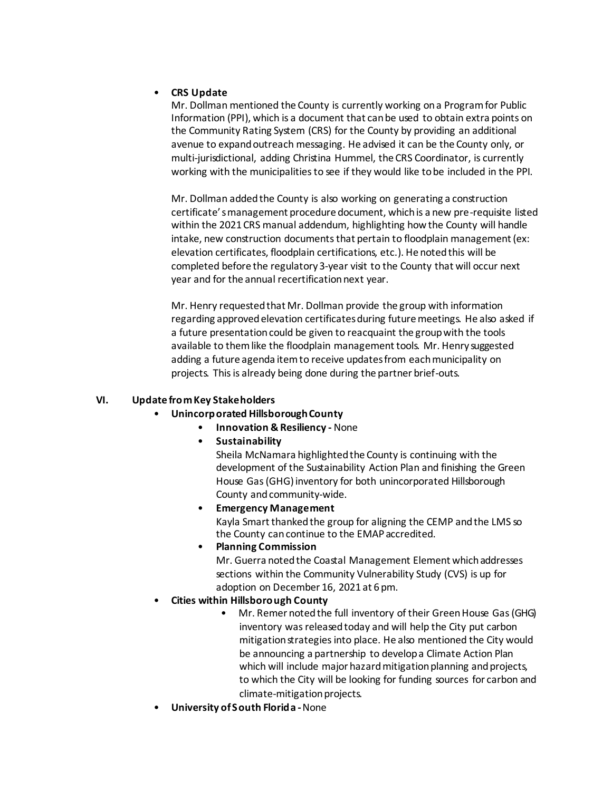# • **CRS Update**

Mr. Dollman mentioned the County is currently working ona Programfor Public Information (PPI), which is a document that canbe used to obtain extra points on the Community Rating System (CRS) for the County by providing an additional avenue to expand outreach messaging. He advised it can be the County only, or multi-jurisdictional, adding Christina Hummel, the CRS Coordinator, is currently working with the municipalitiesto see if they would like tobe included in the PPI.

Mr. Dollman addedthe County is also working on generating a construction certificate'smanagement procedure document, which is a new pre-requisite listed within the 2021 CRS manual addendum, highlighting howthe County will handle intake, new construction documents that pertain to floodplain management (ex: elevation certificates, floodplain certifications, etc.). He noted this will be completed before the regulatory3-year visit to the County that will occur next year and for the annual recertification next year.

Mr. Henry requestedthat Mr. Dollman provide the group with information regarding approved elevation certificates during future meetings. He also asked if a future presentation could be given to reacquaint the group with the tools available to themlike the floodplain management tools. Mr. Henry suggested adding a future agenda item to receive updates from each municipality on projects. This is already being done during the partner brief-outs.

# **VI. Update fromKey Stakeholders**

- **Unincorporated HillsboroughCounty**
	- **Innovation & Resiliency -** None
	- **Sustainability**

Sheila McNamara highlightedthe County is continuing with the development of the Sustainability Action Plan and finishing the Green House Gas(GHG)inventory for both unincorporated Hillsborough County and community-wide.

• **Emergency Management** Kayla Smart thanked the group for aligning the CEMP and the LMS so the County cancontinue to the EMAPaccredited.

- **Planning Commission** Mr. Guerra noted the Coastal Management Element which addresses sections within the Community Vulnerability Study (CVS) is up for adoption on December 16, 2021 at 6 pm.
- **Cities within Hillsborough County**
	- Mr. Remer noted the full inventory of their Green House Gas (GHG) inventory was released today and will help the City put carbon mitigation strategies into place. He also mentioned the City would be announcing a partnership to develop a Climate Action Plan which will include major hazard mitigation planning and projects, to which the City will be looking for funding sources for carbon and climate-mitigation projects.
- **University ofSouth Florida -**None